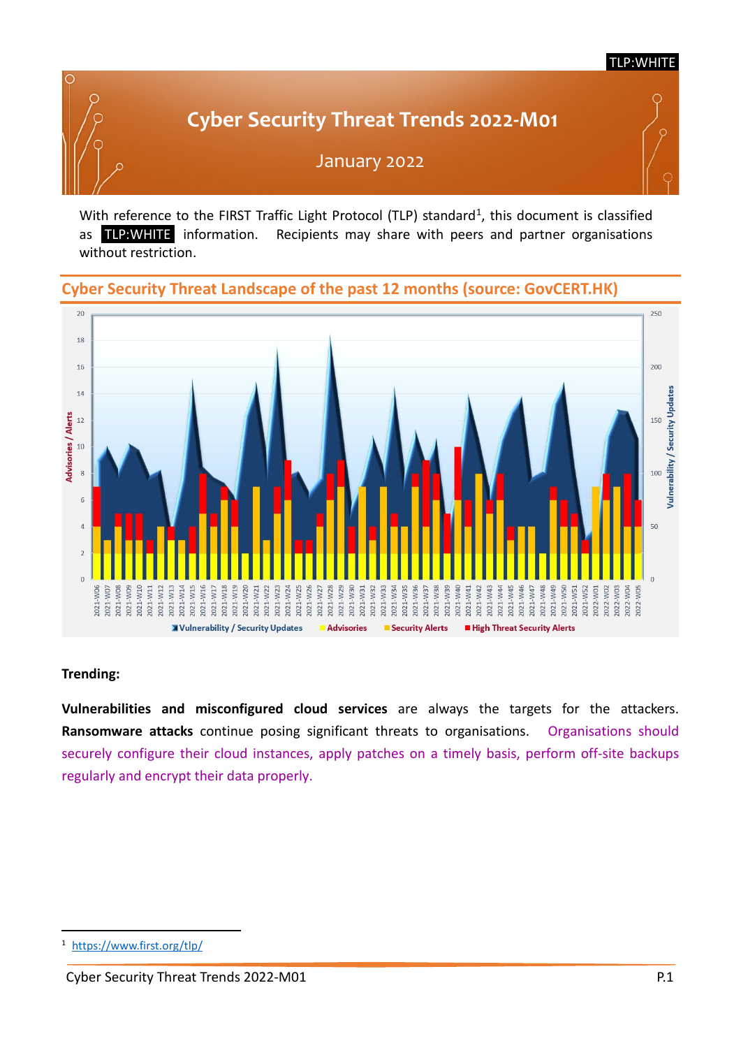#### TLP:WHITE

# January 2022 **Cyber Security Threat Trends 2022-M01**



## **Cyber Security Threat Landscape of the past 12 months (source: GovCERT.HK)**



#### **Trending:**

**Vulnerabilities and misconfigured cloud services** are always the targets for the attackers. **Ransomware attacks** continue posing significant threats to organisations. Organisations should securely configure their cloud instances, apply patches on a timely basis, perform off-site backups regularly and encrypt their data properly.

<span id="page-0-0"></span><https://www.first.org/tlp/>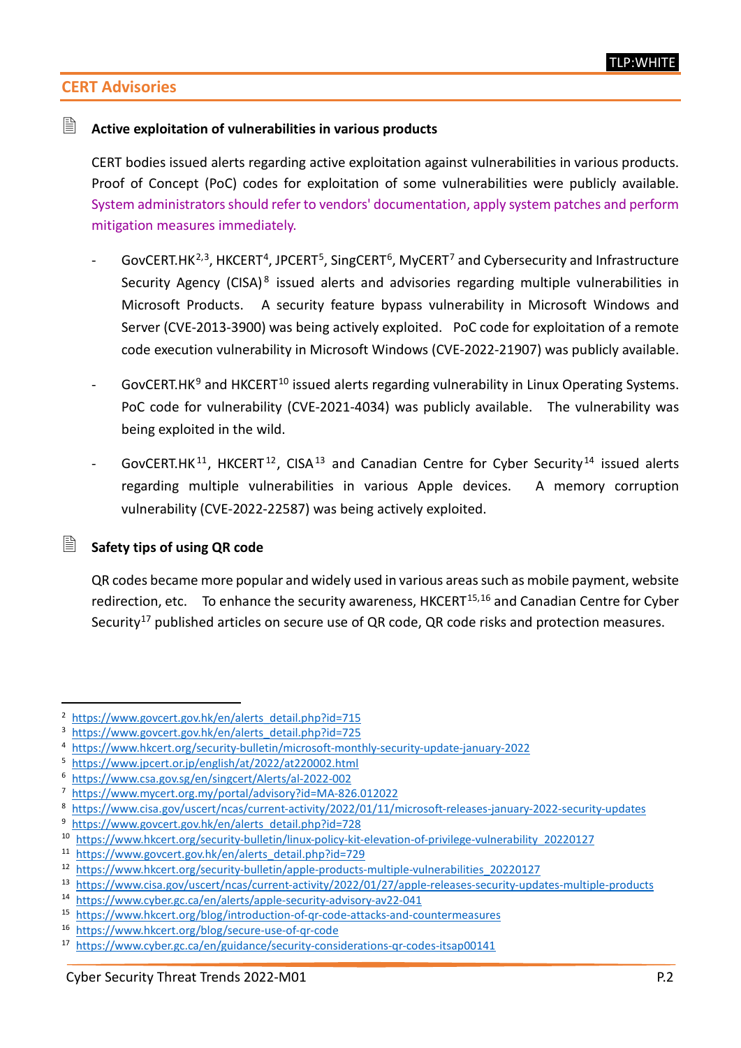# **CERT Advisories**

# **Active exploitation of vulnerabilities in various products**

CERT bodies issued alerts regarding active exploitation against vulnerabilities in various products. Proof of Concept (PoC) codes for exploitation of some vulnerabilities were publicly available. System administrators should refer to vendors' documentation, apply system patches and perform mitigation measures immediately.

- GovCERT.HK<sup>[2,](#page-1-0)[3](#page-1-1)</sup>, HKCERT<sup>4</sup>, JPCERT<sup>[5](#page-1-3)</sup>, SingCERT<sup>[6](#page-1-4)</sup>, MyCERT<sup>[7](#page-1-5)</sup> and Cybersecurity and Infrastructure Security Agency (CISA) $8$  issued alerts and advisories regarding multiple vulnerabilities in Microsoft Products. A security feature bypass vulnerability in Microsoft Windows and Server (CVE-2013-3900) was being actively exploited. PoC code for exploitation of a remote code execution vulnerability in Microsoft Windows (CVE-2022-21907) was publicly available.
- GovCERT.HK $9$  and HKCERT<sup>[10](#page-1-8)</sup> issued alerts regarding vulnerability in Linux Operating Systems. PoC code for vulnerability (CVE-2021-4034) was publicly available. The vulnerability was being exploited in the wild.
- $GovCERT.HK<sup>11</sup>$  $GovCERT.HK<sup>11</sup>$  $GovCERT.HK<sup>11</sup>$ , HKCERT<sup>[12](#page-1-10)</sup>, CISA<sup>[13](#page-1-11)</sup> and Canadian Centre for Cyber Security<sup>[14](#page-1-12)</sup> issued alerts regarding multiple vulnerabilities in various Apple devices. A memory corruption vulnerability (CVE-2022-22587) was being actively exploited.

#### **Safety tips of using QR code**

QR codes became more popular and widely used in various areas such as mobile payment, website redirection, etc. To enhance the security awareness,  $HKCERT^{15,16}$  $HKCERT^{15,16}$  $HKCERT^{15,16}$  $HKCERT^{15,16}$  and Canadian Centre for Cyber Security<sup>[17](#page-1-15)</sup> published articles on secure use of QR code, QR code risks and protection measures.

<span id="page-1-0"></span>[https://www.govcert.gov.hk/en/alerts\\_detail.php?id=715](https://www.govcert.gov.hk/en/alerts_detail.php?id=715)

<span id="page-1-1"></span>[https://www.govcert.gov.hk/en/alerts\\_detail.php?id=725](https://www.govcert.gov.hk/en/alerts_detail.php?id=725)

<span id="page-1-2"></span><sup>4</sup> <https://www.hkcert.org/security-bulletin/microsoft-monthly-security-update-january-2022>

<span id="page-1-3"></span><sup>5</sup> <https://www.jpcert.or.jp/english/at/2022/at220002.html>

<span id="page-1-4"></span><sup>6</sup> <https://www.csa.gov.sg/en/singcert/Alerts/al-2022-002>

<span id="page-1-5"></span><sup>7</sup> <https://www.mycert.org.my/portal/advisory?id=MA-826.012022>

<span id="page-1-6"></span><sup>8</sup> <https://www.cisa.gov/uscert/ncas/current-activity/2022/01/11/microsoft-releases-january-2022-security-updates>

<span id="page-1-7"></span><sup>&</sup>lt;sup>9</sup> [https://www.govcert.gov.hk/en/alerts\\_detail.php?id=728](https://www.govcert.gov.hk/en/alerts_detail.php?id=728)

<span id="page-1-8"></span><sup>10</sup> [https://www.hkcert.org/security-bulletin/linux-policy-kit-elevation-of-privilege-vulnerability\\_20220127](https://www.hkcert.org/security-bulletin/linux-policy-kit-elevation-of-privilege-vulnerability_20220127)

<span id="page-1-9"></span><sup>11</sup> [https://www.govcert.gov.hk/en/alerts\\_detail.php?id=729](https://www.govcert.gov.hk/en/alerts_detail.php?id=729)

<span id="page-1-10"></span><sup>12</sup> [https://www.hkcert.org/security-bulletin/apple-products-multiple-vulnerabilities\\_20220127](https://www.hkcert.org/security-bulletin/apple-products-multiple-vulnerabilities_20220127)

<span id="page-1-11"></span><sup>13</sup> <https://www.cisa.gov/uscert/ncas/current-activity/2022/01/27/apple-releases-security-updates-multiple-products>

<span id="page-1-12"></span><sup>14</sup> <https://www.cyber.gc.ca/en/alerts/apple-security-advisory-av22-041>

<span id="page-1-13"></span><sup>15</sup> <https://www.hkcert.org/blog/introduction-of-qr-code-attacks-and-countermeasures>

<span id="page-1-14"></span><sup>16</sup> <https://www.hkcert.org/blog/secure-use-of-qr-code>

<span id="page-1-15"></span><sup>17</sup> <https://www.cyber.gc.ca/en/guidance/security-considerations-qr-codes-itsap00141>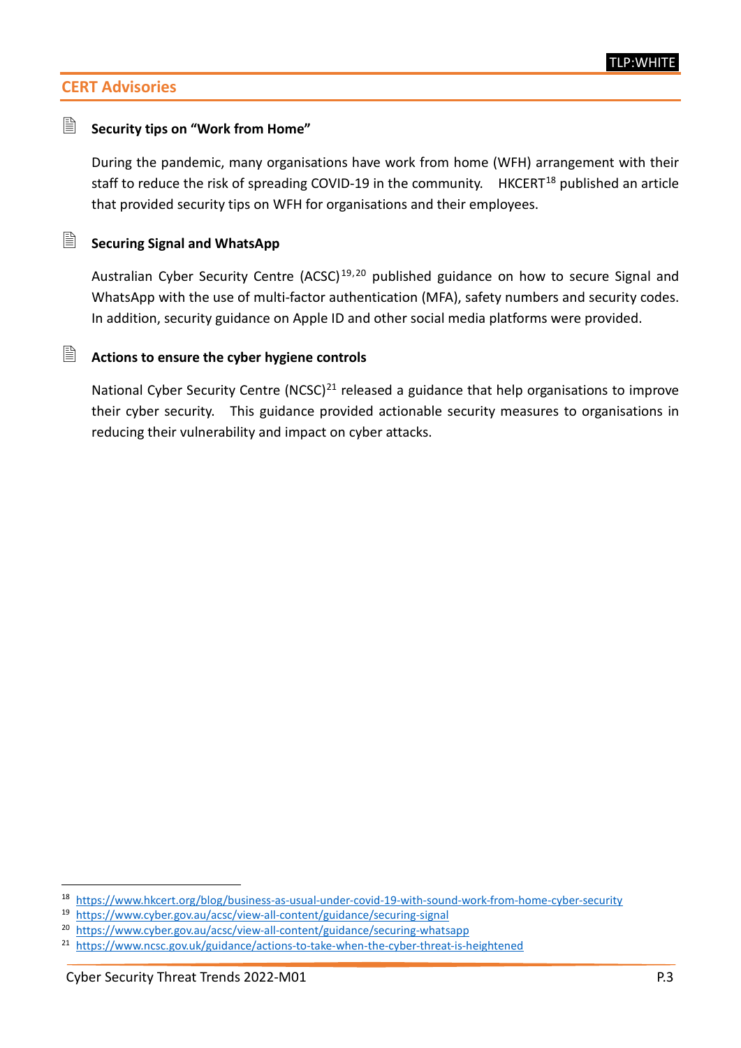# **CERT Advisories**

## **Security tips on "Work from Home"**

During the pandemic, many organisations have work from home (WFH) arrangement with their staff to reduce the risk of spreading COVID-19 in the community.  $HKCEPT^{18}$  $HKCEPT^{18}$  $HKCEPT^{18}$  published an article that provided security tips on WFH for organisations and their employees.

# **Securing Signal and WhatsApp**

Australian Cyber Security Centre (ACSC)<sup>[19](#page-2-1),[20](#page-2-2)</sup> published guidance on how to secure Signal and WhatsApp with the use of multi-factor authentication (MFA), safety numbers and security codes. In addition, security guidance on Apple ID and other social media platforms were provided.

#### **Actions to ensure the cyber hygiene controls**

National Cyber Security Centre (NCSC)<sup>[21](#page-2-3)</sup> released a guidance that help organisations to improve their cyber security. This guidance provided actionable security measures to organisations in reducing their vulnerability and impact on cyber attacks.

<span id="page-2-0"></span><sup>18</sup> <https://www.hkcert.org/blog/business-as-usual-under-covid-19-with-sound-work-from-home-cyber-security>

<span id="page-2-1"></span><sup>19</sup> <https://www.cyber.gov.au/acsc/view-all-content/guidance/securing-signal>

<span id="page-2-2"></span><sup>20</sup> <https://www.cyber.gov.au/acsc/view-all-content/guidance/securing-whatsapp>

<span id="page-2-3"></span><sup>&</sup>lt;sup>21</sup> <https://www.ncsc.gov.uk/guidance/actions-to-take-when-the-cyber-threat-is-heightened>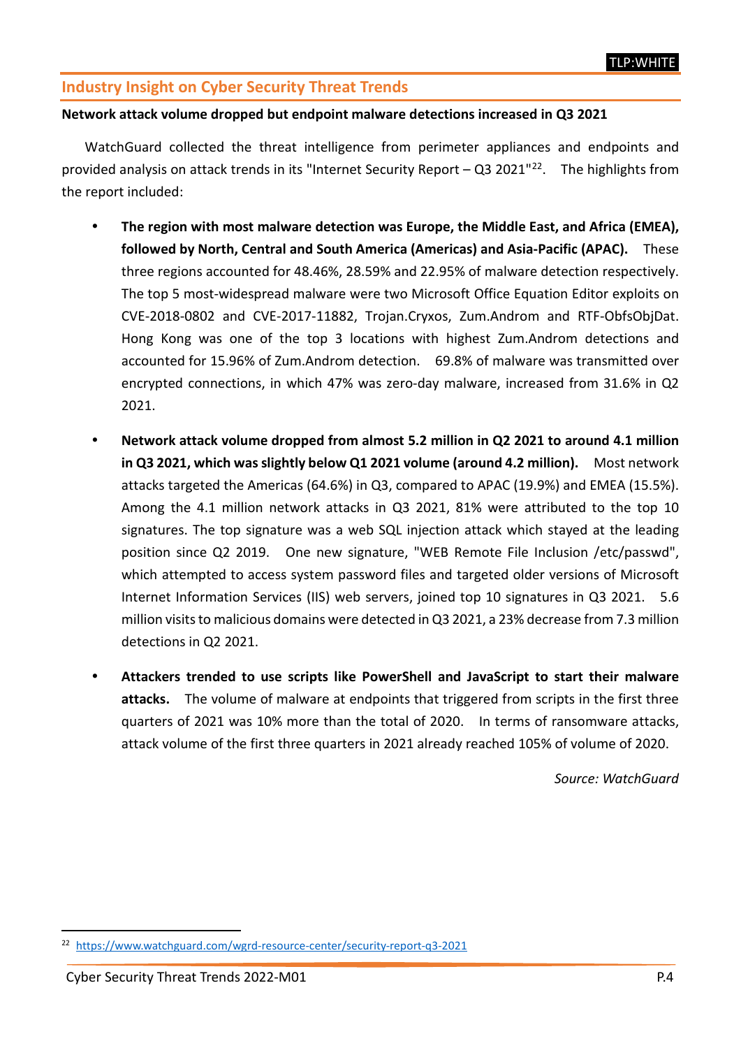# **Industry Insight on Cyber Security Threat Trends**

#### **Network attack volume dropped but endpoint malware detections increased in Q3 2021**

WatchGuard collected the threat intelligence from perimeter appliances and endpoints and provided analysis on attack trends in its "Internet Security Report – Q3 2021"<sup>22</sup>. The highlights from the report included:

- **The region with most malware detection was Europe, the Middle East, and Africa (EMEA), followed by North, Central and South America (Americas) and Asia-Pacific (APAC).** These three regions accounted for 48.46%, 28.59% and 22.95% of malware detection respectively. The top 5 most-widespread malware were two Microsoft Office Equation Editor exploits on CVE-2018-0802 and CVE-2017-11882, Trojan.Cryxos, Zum.Androm and RTF-ObfsObjDat. Hong Kong was one of the top 3 locations with highest Zum.Androm detections and accounted for 15.96% of Zum.Androm detection. 69.8% of malware was transmitted over encrypted connections, in which 47% was zero-day malware, increased from 31.6% in Q2 2021.
- **Network attack volume dropped from almost 5.2 million in Q2 2021 to around 4.1 million in Q3 2021, which was slightly below Q1 2021 volume (around 4.2 million).** Most network attacks targeted the Americas (64.6%) in Q3, compared to APAC (19.9%) and EMEA (15.5%). Among the 4.1 million network attacks in Q3 2021, 81% were attributed to the top 10 signatures. The top signature was a web SQL injection attack which stayed at the leading position since Q2 2019. One new signature, "WEB Remote File Inclusion /etc/passwd", which attempted to access system password files and targeted older versions of Microsoft Internet Information Services (IIS) web servers, joined top 10 signatures in Q3 2021. 5.6 million visits to malicious domains were detected in Q3 2021, a 23% decrease from 7.3 million detections in Q2 2021.
- **Attackers trended to use scripts like PowerShell and JavaScript to start their malware attacks.** The volume of malware at endpoints that triggered from scripts in the first three quarters of 2021 was 10% more than the total of 2020. In terms of ransomware attacks, attack volume of the first three quarters in 2021 already reached 105% of volume of 2020.

*Source: WatchGuard*

<span id="page-3-0"></span><sup>22</sup> <https://www.watchguard.com/wgrd-resource-center/security-report-q3-2021>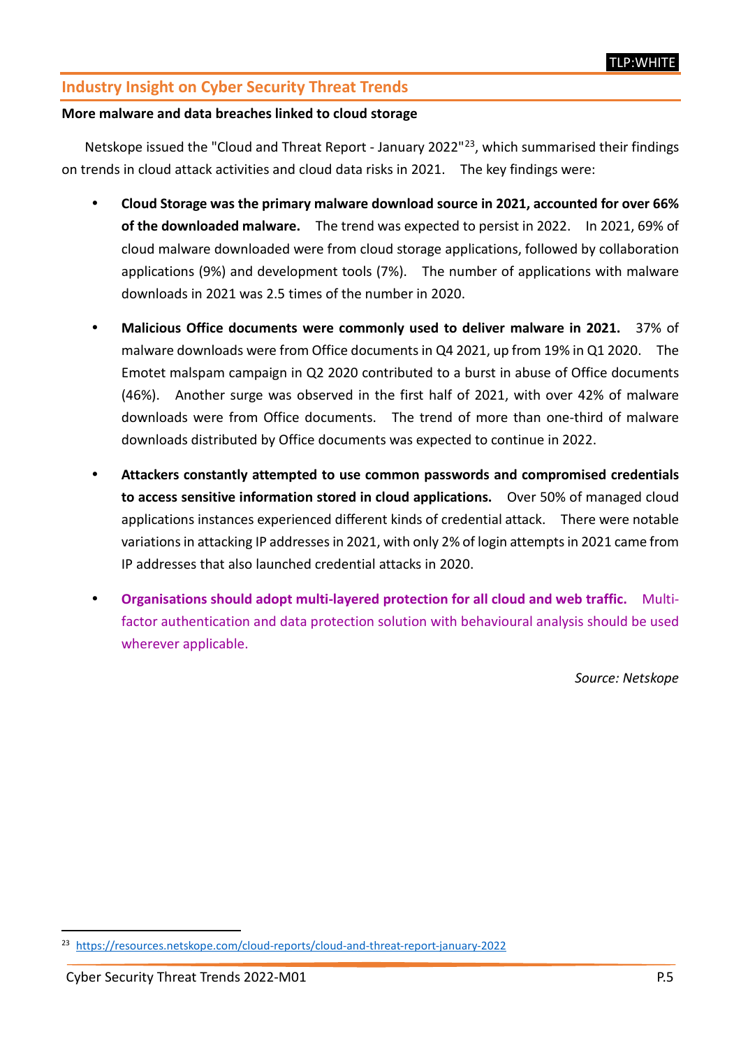# **Industry Insight on Cyber Security Threat Trends**

#### **More malware and data breaches linked to cloud storage**

Netskope issued the "Cloud and Threat Report - January 2022"<sup>[23](#page-4-0)</sup>, which summarised their findings on trends in cloud attack activities and cloud data risks in 2021. The key findings were:

- **Cloud Storage was the primary malware download source in 2021, accounted for over 66% of the downloaded malware.** The trend was expected to persist in 2022. In 2021, 69% of cloud malware downloaded were from cloud storage applications, followed by collaboration applications (9%) and development tools (7%). The number of applications with malware downloads in 2021 was 2.5 times of the number in 2020.
- **Malicious Office documents were commonly used to deliver malware in 2021.** 37% of malware downloads were from Office documents in Q4 2021, up from 19% in Q1 2020. The Emotet malspam campaign in Q2 2020 contributed to a burst in abuse of Office documents (46%). Another surge was observed in the first half of 2021, with over 42% of malware downloads were from Office documents. The trend of more than one-third of malware downloads distributed by Office documents was expected to continue in 2022.
- **Attackers constantly attempted to use common passwords and compromised credentials to access sensitive information stored in cloud applications.** Over 50% of managed cloud applications instances experienced different kinds of credential attack. There were notable variations in attacking IP addresses in 2021, with only 2% of login attempts in 2021 came from IP addresses that also launched credential attacks in 2020.
- **Organisations should adopt multi-layered protection for all cloud and web traffic.** Multifactor authentication and data protection solution with behavioural analysis should be used wherever applicable.

*Source: Netskope*

<span id="page-4-0"></span><sup>23</sup> <https://resources.netskope.com/cloud-reports/cloud-and-threat-report-january-2022>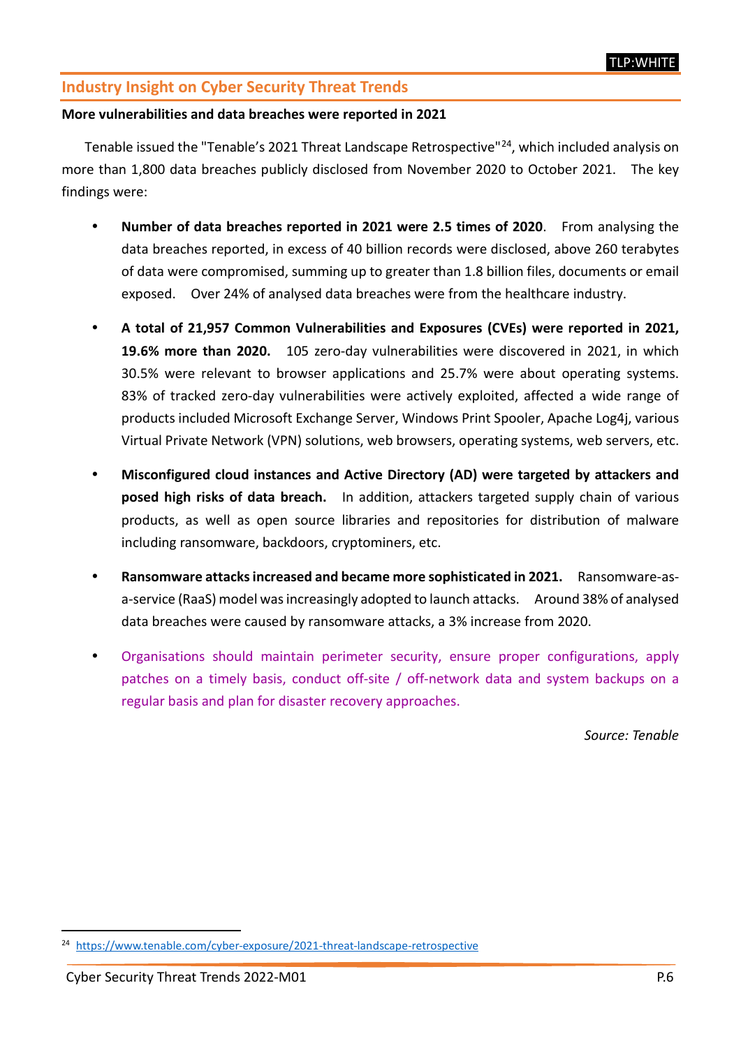# **Industry Insight on Cyber Security Threat Trends**

#### **More vulnerabilities and data breaches were reported in 2021**

Tenable issued the "Tenable's 2021 Threat Landscape Retrospective"[24](#page-5-0), which included analysis on more than 1,800 data breaches publicly disclosed from November 2020 to October 2021. The key findings were:

- **Number of data breaches reported in 2021 were 2.5 times of 2020**. From analysing the data breaches reported, in excess of 40 billion records were disclosed, above 260 terabytes of data were compromised, summing up to greater than 1.8 billion files, documents or email exposed. Over 24% of analysed data breaches were from the healthcare industry.
- **A total of 21,957 Common Vulnerabilities and Exposures (CVEs) were reported in 2021, 19.6% more than 2020.** 105 zero-day vulnerabilities were discovered in 2021, in which 30.5% were relevant to browser applications and 25.7% were about operating systems. 83% of tracked zero-day vulnerabilities were actively exploited, affected a wide range of products included Microsoft Exchange Server, Windows Print Spooler, Apache Log4j, various Virtual Private Network (VPN) solutions, web browsers, operating systems, web servers, etc.
- **Misconfigured cloud instances and Active Directory (AD) were targeted by attackers and posed high risks of data breach.** In addition, attackers targeted supply chain of various products, as well as open source libraries and repositories for distribution of malware including ransomware, backdoors, cryptominers, etc.
- **Ransomware attacks increased and became more sophisticated in 2021.** Ransomware-asa-service (RaaS) model was increasingly adopted to launch attacks. Around 38% of analysed data breaches were caused by ransomware attacks, a 3% increase from 2020.
- Organisations should maintain perimeter security, ensure proper configurations, apply patches on a timely basis, conduct off-site / off-network data and system backups on a regular basis and plan for disaster recovery approaches.

*Source: Tenable*

<span id="page-5-0"></span> <sup>24</sup> <https://www.tenable.com/cyber-exposure/2021-threat-landscape-retrospective>